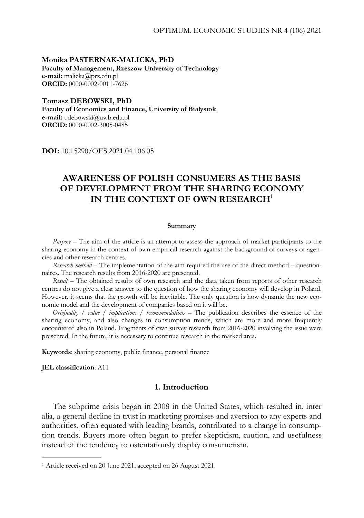**Monika PASTERNAK-MALICKA, PhD Faculty of Management, Rzeszow University of Technology e-mail:** malicka@prz.edu.pl **ORCID:** 0000-0002-0011-7626

**Tomasz DĘBOWSKI, PhD Faculty of Economics and Finance, University of Bialystok e-mail:** t.debowski@uwb.edu.pl **ORCID:** 0000-0002-3005-0485

**DOI:** 10.15290/OES.2021.04.106.05

# **AWARENESS OF POLISH CONSUMERS AS THE BASIS OF DEVELOPMENT FROM THE SHARING ECONOMY IN THE CONTEXT OF OWN RESEARCH**<sup>1</sup>

#### **Summary**

*Purpose* – The aim of the article is an attempt to assess the approach of market participants to the sharing economy in the context of own empirical research against the background of surveys of agencies and other research centres.

*Research method* – The implementation of the aim required the use of the direct method – questionnaires. The research results from 2016-2020 are presented.

*Result* – The obtained results of own research and the data taken from reports of other research centres do not give a clear answer to the question of how the sharing economy will develop in Poland. However, it seems that the growth will be inevitable. The only question is how dynamic the new economic model and the development of companies based on it will be.

*Originality / value / implications / recommendations* – The publication describes the essence of the sharing economy, and also changes in consumption trends, which are more and more frequently encountered also in Poland. Fragments of own survey research from 2016-2020 involving the issue were presented. In the future, it is necessary to continue research in the marked area.

**Keywords**: sharing economy, public finance, personal finance

**JEL classification**: A11

-

# **1. Introduction**

The subprime crisis began in 2008 in the United States, which resulted in, inter alia, a general decline in trust in marketing promises and aversion to any experts and authorities, often equated with leading brands, contributed to a change in consumption trends. Buyers more often began to prefer skepticism, caution, and usefulness instead of the tendency to ostentatiously display consumerism.

<sup>1</sup> Article received on 20 June 2021, accepted on 26 August 2021.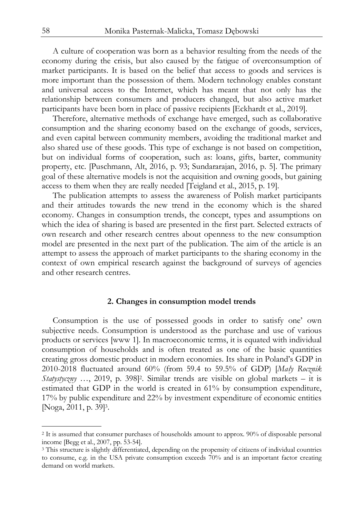A culture of cooperation was born as a behavior resulting from the needs of the economy during the crisis, but also caused by the fatigue of overconsumption of market participants. It is based on the belief that access to goods and services is more important than the possession of them. Modern technology enables constant and universal access to the Internet, which has meant that not only has the relationship between consumers and producers changed, but also active market participants have been born in place of passive recipients [Eckhardt et al., 2019].

Therefore, alternative methods of exchange have emerged, such as collaborative consumption and the sharing economy based on the exchange of goods, services, and even capital between community members, avoiding the traditional market and also shared use of these goods. This type of exchange is not based on competition, but on individual forms of cooperation, such as: loans, gifts, barter, community property, etc. [Puschmann, Alt, 2016, p. 93; Sundararajan, 2016, p. 5]. The primary goal of these alternative models is not the acquisition and owning goods, but gaining access to them when they are really needed [Teigland et al., 2015, p. 19].

The publication attempts to assess the awareness of Polish market participants and their attitudes towards the new trend in the economy which is the shared economy. Changes in consumption trends, the concept, types and assumptions on which the idea of sharing is based are presented in the first part. Selected extracts of own research and other research centres about openness to the new consumption model are presented in the next part of the publication. The aim of the article is an attempt to assess the approach of market participants to the sharing economy in the context of own empirical research against the background of surveys of agencies and other research centres.

#### **2. Changes in consumption model trends**

Consumption is the use of possessed goods in order to satisfy one' own subjective needs. Consumption is understood as the purchase and use of various products or services [www 1]. In macroeconomic terms, it is equated with individual consumption of households and is often treated as one of the basic quantities creating gross domestic product in modern economies. Its share in Poland's GDP in 2010-2018 fluctuated around 60% (from 59.4 to 59.5% of GDP) [*Mały Rocznik*   $Statystyczny$  ..., 2019, p. 398<sup>[2]</sup>. Similar trends are visible on global markets – it is estimated that GDP in the world is created in 61% by consumption expenditure, 17% by public expenditure and 22% by investment expenditure of economic entities [Noga, 2011, p. 39]3.

1

<sup>2</sup> It is assumed that consumer purchases of households amount to approx. 90% of disposable personal income [Begg et al., 2007, pp. 53-54].

<sup>&</sup>lt;sup>3</sup> This structure is slightly differentiated, depending on the propensity of citizens of individual countries to consume, e.g. in the USA private consumption exceeds 70% and is an important factor creating demand on world markets.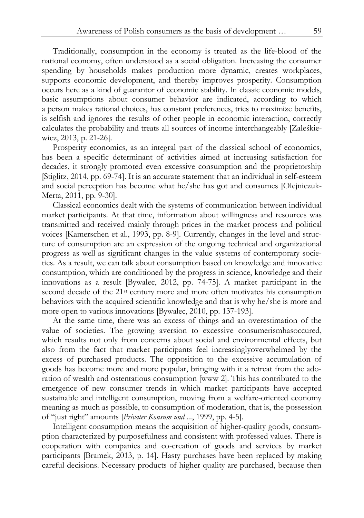Traditionally, consumption in the economy is treated as the life-blood of the national economy, often understood as a social obligation. Increasing the consumer spending by households makes production more dynamic, creates workplaces, supports economic development, and thereby improves prosperity. Consumption occurs here as a kind of guarantor of economic stability. In classic economic models, basic assumptions about consumer behavior are indicated, according to which a person makes rational choices, has constant preferences, tries to maximize benefits, is selfish and ignores the results of other people in economic interaction, correctly calculates the probability and treats all sources of income interchangeably [Zaleśkiewicz, 2013, p. 21-26].

Prosperity economics, as an integral part of the classical school of economics, has been a specific determinant of activities aimed at increasing satisfaction for decades, it strongly promoted even excessive consumption and the proprietorship [Stiglitz, 2014, pp. 69-74]. It is an accurate statement that an individual in self-esteem and social perception has become what he/she has got and consumes [Olejniczuk-Merta, 2011, pp. 9-30].

Classical economics dealt with the systems of communication between individual market participants. At that time, information about willingness and resources was transmitted and received mainly through prices in the market process and political voices [Kamerschen et al., 1993, pp. 8-9]. Currently, changes in the level and structure of consumption are an expression of the ongoing technical and organizational progress as well as significant changes in the value systems of contemporary societies. As a result, we can talk about consumption based on knowledge and innovative consumption, which are conditioned by the progress in science, knowledge and their innovations as a result [Bywalec, 2012, pp. 74-75]. A market participant in the second decade of the 21st century more and more often motivates his consumption behaviors with the acquired scientific knowledge and that is why he/she is more and more open to various innovations [Bywalec, 2010, pp. 137-193].

At the same time, there was an excess of things and an overestimation of the value of societies. The growing aversion to excessive consumerismhasoccured, which results not only from concerns about social and environmental effects, but also from the fact that market participants feel increasinglyoverwhelmed by the excess of purchased products. The opposition to the excessive accumulation of goods has become more and more popular, bringing with it a retreat from the adoration of wealth and ostentatious consumption [www 2]. This has contributed to the emergence of new consumer trends in which market participants have accepted sustainable and intelligent consumption, moving from a welfare-oriented economy meaning as much as possible, to consumption of moderation, that is, the possession of "just right" amounts [*Privater Konsum und ...*, 1999, pp. 4-5].

Intelligent consumption means the acquisition of higher-quality goods, consumption characterized by purposefulness and consistent with professed values. There is cooperation with companies and co-creation of goods and services by market participants [Bramek, 2013, p. 14]. Hasty purchases have been replaced by making careful decisions. Necessary products of higher quality are purchased, because then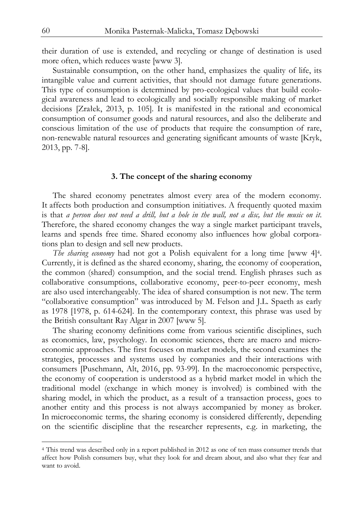their duration of use is extended, and recycling or change of destination is used more often, which reduces waste [www 3].

Sustainable consumption, on the other hand, emphasizes the quality of life, its intangible value and current activities, that should not damage future generations. This type of consumption is determined by pro-ecological values that build ecological awareness and lead to ecologically and socially responsible making of market decisions [Zrałek, 2013, p. 105]. It is manifested in the rational and economical consumption of consumer goods and natural resources, and also the deliberate and conscious limitation of the use of products that require the consumption of rare, non-renewable natural resources and generating significant amounts of waste [Kryk, 2013, pp. 7-8].

#### **3. The concept of the sharing economy**

 The shared economy penetrates almost every area of the modern economy. It affects both production and consumption initiatives. A frequently quoted maxim is that *a person does not need a drill, but a hole in the wall, not a disc, but the music on it*. Therefore, the shared economy changes the way a single market participant travels, learns and spends free time. Shared economy also influences how global corporations plan to design and sell new products.

*The sharing economy* had not got a Polish equivalent for a long time [www 4]<sup>4</sup>. Currently, it is defined as the shared economy, sharing, the economy of cooperation, the common (shared) consumption, and the social trend. English phrases such as collaborative consumptions, collaborative economy, peer-to-peer economy, mesh are also used interchangeably. The idea of shared consumption is not new. The term "collaborative consumption" was introduced by M. Felson and J.L. Spaeth as early as 1978 [1978, p. 614-624]. In the contemporary context, this phrase was used by the British consultant Ray Algar in 2007 [www 5].

The sharing economy definitions come from various scientific disciplines, such as economics, law, psychology. In economic sciences, there are macro and microeconomic approaches. The first focuses on market models, the second examines the strategies, processes and systems used by companies and their interactions with consumers [Puschmann, Alt, 2016, pp. 93-99]. In the macroeconomic perspective, the economy of cooperation is understood as a hybrid market model in which the traditional model (exchange in which money is involved) is combined with the sharing model, in which the product, as a result of a transaction process, goes to another entity and this process is not always accompanied by money as broker. In microeconomic terms, the sharing economy is considered differently, depending on the scientific discipline that the researcher represents, e.g. in marketing, the

j

<sup>4</sup> This trend was described only in a report published in 2012 as one of ten mass consumer trends that affect how Polish consumers buy, what they look for and dream about, and also what they fear and want to avoid.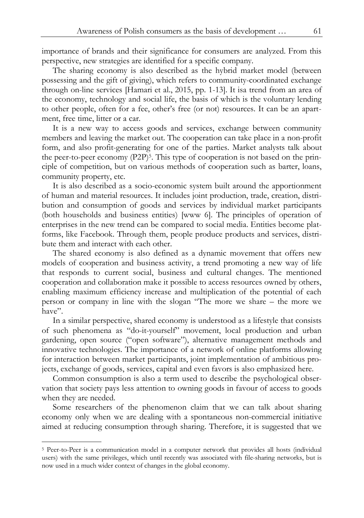importance of brands and their significance for consumers are analyzed. From this perspective, new strategies are identified for a specific company.

The sharing economy is also described as the hybrid market model (between possessing and the gift of giving), which refers to community-coordinated exchange through on-line services [Hamari et al., 2015, pp. 1-13]. It isa trend from an area of the economy, technology and social life, the basis of which is the voluntary lending to other people, often for a fee, other's free (or not) resources. It can be an apartment, free time, litter or a car.

It is a new way to access goods and services, exchange between community members and leaving the market out. The cooperation can take place in a non-profit form, and also profit-generating for one of the parties. Market analysts talk about the peer-to-peer economy  $(P2P)^5$ . This type of cooperation is not based on the principle of competition, but on various methods of cooperation such as barter, loans, community property, etc.

It is also described as a socio-economic system built around the apportionment of human and material resources. It includes joint production, trade, creation, distribution and consumption of goods and services by individual market participants (both households and business entities) [www 6]. The principles of operation of enterprises in the new trend can be compared to social media. Entities become platforms, like Facebook. Through them, people produce products and services, distribute them and interact with each other.

The shared economy is also defined as a dynamic movement that offers new models of cooperation and business activity, a trend promoting a new way of life that responds to current social, business and cultural changes. The mentioned cooperation and collaboration make it possible to access resources owned by others, enabling maximum efficiency increase and multiplication of the potential of each person or company in line with the slogan "The more we share – the more we have".

In a similar perspective, shared economy is understood as a lifestyle that consists of such phenomena as "do-it-yourself" movement, local production and urban gardening, open source ("open software"), alternative management methods and innovative technologies. The importance of a network of online platforms allowing for interaction between market participants, joint implementation of ambitious projects, exchange of goods, services, capital and even favors is also emphasized here.

Common consumption is also a term used to describe the psychological observation that society pays less attention to owning goods in favour of access to goods when they are needed.

Some researchers of the phenomenon claim that we can talk about sharing economy only when we are dealing with a spontaneous non-commercial initiative aimed at reducing consumption through sharing. Therefore, it is suggested that we

j

<sup>5</sup> Peer-to-Peer is a communication model in a computer network that provides all hosts (individual users) with the same privileges, which until recently was associated with file-sharing networks, but is now used in a much wider context of changes in the global economy.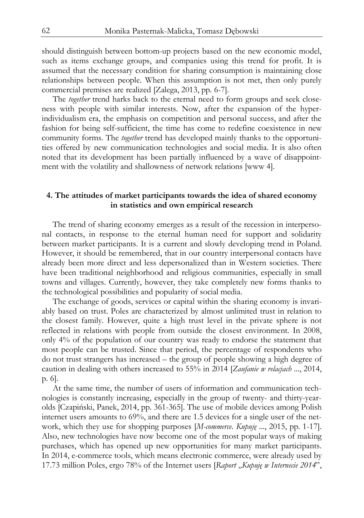should distinguish between bottom-up projects based on the new economic model, such as items exchange groups, and companies using this trend for profit. It is assumed that the necessary condition for sharing consumption is maintaining close relationships between people. When this assumption is not met, then only purely commercial premises are realized [Zalega, 2013, pp. 6-7].

The *together* trend harks back to the eternal need to form groups and seek closeness with people with similar interests. Now, after the expansion of the hyperindividualism era, the emphasis on competition and personal success, and after the fashion for being self-sufficient, the time has come to redefine coexistence in new community forms. The *together* trend has developed mainly thanks to the opportunities offered by new communication technologies and social media. It is also often noted that its development has been partially influenced by a wave of disappointment with the volatility and shallowness of network relations [www 4].

## **4. The attitudes of market participants towards the idea of shared economy in statistics and own empirical research**

The trend of sharing economy emerges as a result of the recession in interpersonal contacts, in response to the eternal human need for support and solidarity between market participants. It is a current and slowly developing trend in Poland. However, it should be remembered, that in our country interpersonal contacts have already been more direct and less depersonalized than in Western societies. There have been traditional neighborhood and religious communities, especially in small towns and villages. Currently, however, they take completely new forms thanks to the technological possibilities and popularity of social media.

The exchange of goods, services or capital within the sharing economy is invariably based on trust. Poles are characterized by almost unlimited trust in relation to the closest family. However, quite a high trust level in the private sphere is not reflected in relations with people from outside the closest environment. In 2008, only 4% of the population of our country was ready to endorse the statement that most people can be trusted. Since that period, the percentage of respondents who do not trust strangers has increased – the group of people showing a high degree of caution in dealing with others increased to 55% in 2014 [*Zaufanie w relacjach* ..., 2014, p. 6].

At the same time, the number of users of information and communication technologies is constantly increasing, especially in the group of twenty- and thirty-yearolds [Czapiński, Panek, 2014, pp. 361-365]. The use of mobile devices among Polish internet users amounts to 69%, and there are 1.5 devices for a single user of the network, which they use for shopping purposes [*M-commerce. Kupuję* ..., 2015, pp. 1-17]. Also, new technologies have now become one of the most popular ways of making purchases, which has opened up new opportunities for many market participants. In 2014, e-commerce tools, which means electronic commerce, were already used by 17.73 million Poles, ergo 78% of the Internet users [*Raport "Kupuję w Internecie 2014*",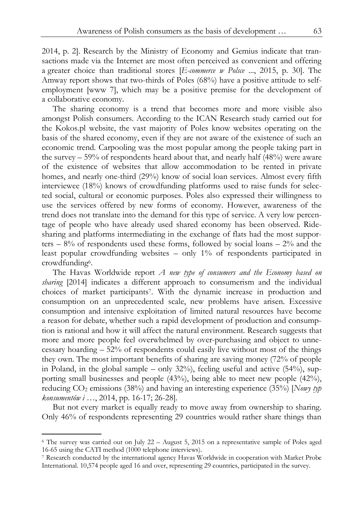2014, p. 2]. Research by the Ministry of Economy and Gemius indicate that transactions made via the Internet are most often perceived as convenient and offering a greater choice than traditional stores [*E-commerce w Polsce* ..., 2015, p. 30]. The Amway report shows that two-thirds of Poles (68%) have a positive attitude to selfemployment [www 7], which may be a positive premise for the development of a collaborative economy.

The sharing economy is a trend that becomes more and more visible also amongst Polish consumers. According to the ICAN Research study carried out for the Kokos.pl website, the vast majority of Poles know websites operating on the basis of the shared economy, even if they are not aware of the existence of such an economic trend. Carpooling was the most popular among the people taking part in the survey – 59% of respondents heard about that, and nearly half (48%) were aware of the existence of websites that allow accommodation to be rented in private homes, and nearly one-third (29%) know of social loan services. Almost every fifth interviewee (18%) knows of crowdfunding platforms used to raise funds for selected social, cultural or economic purposes. Poles also expressed their willingness to use the services offered by new forms of economy. However, awareness of the trend does not translate into the demand for this type of service. A very low percentage of people who have already used shared economy has been observed. Ridesharing and platforms intermediating in the exchange of flats had the most supporters  $-8\%$  of respondents used these forms, followed by social loans  $-2\%$  and the least popular crowdfunding websites – only 1% of respondents participated in crowdfunding6.

The Havas Worldwide report *A new type of consumers and the Economy based on sharing* [2014] indicates a different approach to consumerism and the individual choices of market participants7. With the dynamic increase in production and consumption on an unprecedented scale, new problems have arisen. Excessive consumption and intensive exploitation of limited natural resources have become a reason for debate, whether such a rapid development of production and consumption is rational and how it will affect the natural environment. Research suggests that more and more people feel overwhelmed by over-purchasing and object to unnecessary hoarding – 52% of respondents could easily live without most of the things they own. The most important benefits of sharing are saving money (72% of people in Poland, in the global sample – only 32%), feeling useful and active (54%), supporting small businesses and people (43%), being able to meet new people (42%), reducing CO2 emissions (38%) and having an interesting experience (35%) [*Nowy typ konsumentów i* …, 2014, pp. 16-17; 26-28].

But not every market is equally ready to move away from ownership to sharing. Only 46% of respondents representing 29 countries would rather share things than

1

<sup>6</sup> The survey was carried out on July 22 – August 5, 2015 on a representative sample of Poles aged 16-65 using the CATI method (1000 telephone interviews).

<sup>7</sup> Research conducted by the international agency Havas Worldwide in cooperation with Market Probe International. 10,574 people aged 16 and over, representing 29 countries, participated in the survey.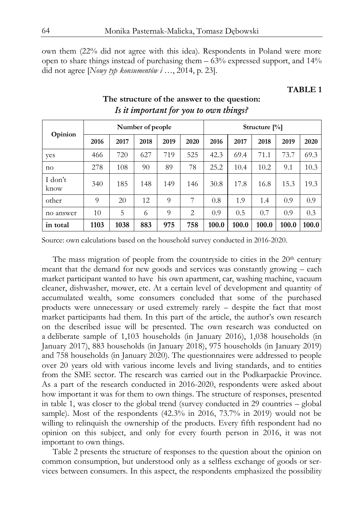own them (22% did not agree with this idea). Respondents in Poland were more open to share things instead of purchasing them – 63% expressed support, and 14% did not agree [*Nowy typ konsumentów i* …, 2014, p. 23].

### **TABLE 1**

| Opinion         | Number of people |      |      |          | Structure $[\%]$ |       |       |       |       |       |
|-----------------|------------------|------|------|----------|------------------|-------|-------|-------|-------|-------|
|                 | 2016             | 2017 | 2018 | 2019     | 2020             | 2016  | 2017  | 2018  | 2019  | 2020  |
| yes             | 466              | 720  | 627  | 719      | 525              | 42.3  | 69.4  | 71.1  | 73.7  | 69.3  |
| no              | 278              | 108  | 90   | 89       | 78               | 25.2  | 10.4  | 10.2  | 9.1   | 10.3  |
| I don't<br>know | 340              | 185  | 148  | 149      | 146              | 30.8  | 17.8  | 16.8  | 15.3  | 19.3  |
| other           | 9                | 20   | 12   | $\Omega$ | 7                | 0.8   | 1.9   | 1.4   | 0.9   | 0.9   |
| no answer       | 10               | 5    | 6    | 9        | 2                | 0.9   | 0.5   | 0.7   | 0.9   | 0.3   |
| in total        | 1103             | 1038 | 883  | 975      | 758              | 100.0 | 100.0 | 100.0 | 100.0 | 100.0 |

# **The structure of the answer to the question:**  *Is it important for you to own things?*

Source: own calculations based on the household survey conducted in 2016-2020.

The mass migration of people from the countryside to cities in the  $20<sup>th</sup>$  century meant that the demand for new goods and services was constantly growing – each market participant wanted to have his own apartment, car, washing machine, vacuum cleaner, dishwasher, mower, etc. At a certain level of development and quantity of accumulated wealth, some consumers concluded that some of the purchased products were unnecessary or used extremely rarely – despite the fact that most market participants had them. In this part of the article, the author's own research on the described issue will be presented. The own research was conducted on a deliberate sample of 1,103 households (in January 2016), 1,038 households (in January 2017), 883 households (in January 2018), 975 households (in January 2019) and 758 households (in January 2020). The questionnaires were addressed to people over 20 years old with various income levels and living standards, and to entities from the SME sector. The research was carried out in the Podkarpackie Province. As a part of the research conducted in 2016-2020, respondents were asked about how important it was for them to own things. The structure of responses, presented in table 1, was closer to the global trend (survey conducted in 29 countries – global sample). Most of the respondents (42.3% in 2016, 73.7% in 2019) would not be willing to relinquish the ownership of the products. Every fifth respondent had no opinion on this subject, and only for every fourth person in 2016, it was not important to own things.

Table 2 presents the structure of responses to the question about the opinion on common consumption, but understood only as a selfless exchange of goods or services between consumers. In this aspect, the respondents emphasized the possibility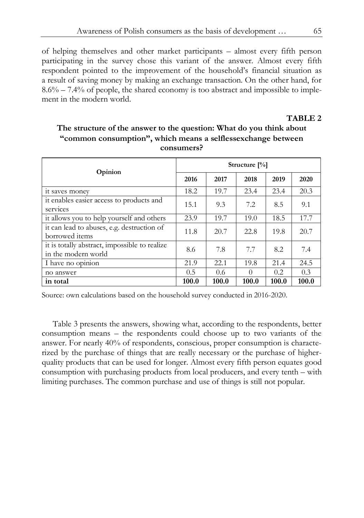of helping themselves and other market participants – almost every fifth person participating in the survey chose this variant of the answer. Almost every fifth respondent pointed to the improvement of the household's financial situation as a result of saving money by making an exchange transaction. On the other hand, for  $8.6\% - 7.4\%$  of people, the shared economy is too abstract and impossible to implement in the modern world.

## **TABLE 2**

| Consumers.                                                           |                  |       |          |       |       |  |  |  |
|----------------------------------------------------------------------|------------------|-------|----------|-------|-------|--|--|--|
|                                                                      | Structure $[\%]$ |       |          |       |       |  |  |  |
| Opinion                                                              | 2016             | 2017  | 2018     | 2019  | 2020  |  |  |  |
| it saves money                                                       | 18.2             | 19.7  | 23.4     | 23.4  | 20.3  |  |  |  |
| it enables easier access to products and<br>services                 | 15.1             | 9.3   | 7.2      | 8.5   | 9.1   |  |  |  |
| it allows you to help yourself and others                            | 23.9             | 19.7  | 19.0     | 18.5  | 17.7  |  |  |  |
| it can lead to abuses, e.g. destruction of<br>borrowed items         | 11.8             | 20.7  | 22.8     | 19.8  | 20.7  |  |  |  |
| it is totally abstract, impossible to realize<br>in the modern world | 8.6              | 7.8   | 7.7      | 8.2   | 7.4   |  |  |  |
| I have no opinion                                                    | 21.9             | 22.1  | 19.8     | 21.4  | 24.5  |  |  |  |
| no answer                                                            | 0.5              | 0.6   | $\Omega$ | 0.2   | 0.3   |  |  |  |
| in total                                                             | 100.0            | 100.0 | 100.0    | 100.0 | 100.0 |  |  |  |

# **The structure of the answer to the question: What do you think about "common consumption", which means a selflessexchange between consumers?**

Source: own calculations based on the household survey conducted in 2016-2020.

Table 3 presents the answers, showing what, according to the respondents, better consumption means – the respondents could choose up to two variants of the answer. For nearly 40% of respondents, conscious, proper consumption is characterized by the purchase of things that are really necessary or the purchase of higherquality products that can be used for longer. Almost every fifth person equates good consumption with purchasing products from local producers, and every tenth – with limiting purchases. The common purchase and use of things is still not popular.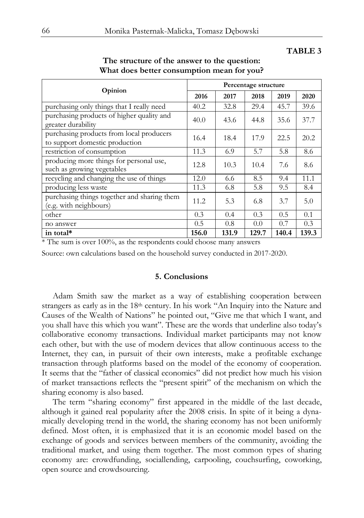### **TABLE 3**

| Opinion                                                                    | Percentage structure |       |       |       |       |  |
|----------------------------------------------------------------------------|----------------------|-------|-------|-------|-------|--|
|                                                                            | 2016                 | 2017  | 2018  | 2019  | 2020  |  |
| purchasing only things that I really need                                  | 40.2                 | 32.8  | 29.4  | 45.7  | 39.6  |  |
| purchasing products of higher quality and<br>greater durability            | 40.0                 | 43.6  | 44.8  | 35.6  | 37.7  |  |
| purchasing products from local producers<br>to support domestic production | 16.4                 | 18.4  | 17.9  | 22.5  | 20.2  |  |
| restriction of consumption                                                 | 11.3                 | 6.9   | 5.7   | 5.8   | 8.6   |  |
| producing more things for personal use,<br>such as growing vegetables      | 12.8                 | 10.3  | 10.4  | 7.6   | 8.6   |  |
| recycling and changing the use of things                                   | 12.0                 | 6.6   | 8.5   | 9.4   | 11.1  |  |
| producing less waste                                                       | 11.3                 | 6.8   | 5.8   | 9.5   | 8.4   |  |
| purchasing things together and sharing them<br>(e.g. with neighbours)      | 11.2                 | 5.3   | 6.8   | 3.7   | 5.0   |  |
| other                                                                      | 0.3                  | 0.4   | 0.3   | 0.5   | 0.1   |  |
| no answer                                                                  | 0.5                  | 0.8   | 0.0   | 0.7   | 0.3   |  |
| in total*                                                                  | 156.0                | 131.9 | 129.7 | 140.4 | 139.3 |  |

# **The structure of the answer to the question: What does better consumption mean for you?**

\* The sum is over 100%, as the respondents could choose many answers

Source: own calculations based on the household survey conducted in 2017-2020.

### **5. Conclusions**

Adam Smith saw the market as a way of establishing cooperation between strangers as early as in the 18th century. In his work "An Inquiry into the Nature and Causes of the Wealth of Nations" he pointed out, "Give me that which I want, and you shall have this which you want". These are the words that underline also today's collaborative economy transactions. Individual market participants may not know each other, but with the use of modern devices that allow continuous access to the Internet, they can, in pursuit of their own interests, make a profitable exchange transaction through platforms based on the model of the economy of cooperation. It seems that the "father of classical economics" did not predict how much his vision of market transactions reflects the "present spirit" of the mechanism on which the sharing economy is also based.

The term "sharing economy" first appeared in the middle of the last decade, although it gained real popularity after the 2008 crisis. In spite of it being a dynamically developing trend in the world, the sharing economy has not been uniformly defined. Most often, it is emphasized that it is an economic model based on the exchange of goods and services between members of the community, avoiding the traditional market, and using them together. The most common types of sharing economy are: crowdfunding, sociallending, carpooling, couchsurfing, coworking, open source and crowdsourcing.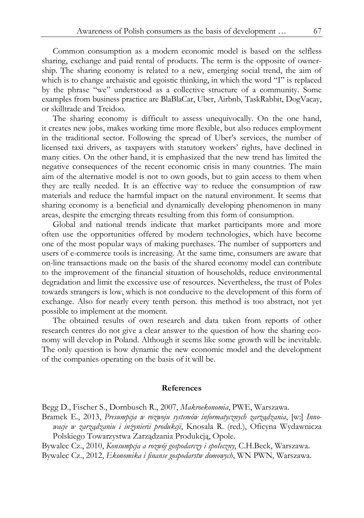Common consumption as a modern economic model is based on the selfless sharing, exchange and paid rental of products. The term is the opposite of ownership. The sharing economy is related to a new, emerging social trend, the aim of which is to change archaistic and egoistic thinking, in which the word "I" is replaced by the phrase "we" understood as a collective structure of a community. Some examples from business practice are BlaBlaCar, Uber, Airbnb, TaskRabbit, DogVacay, or skilltrade and Treidoo.

The sharing economy is difficult to assess unequivocally. On the one hand, it creates new jobs, makes working time more flexible, but also reduces employment in the traditional sector. Following the spread of Uber's services, the number of licensed taxi drivers, as taxpayers with statutory workers' rights, have declined in many cities. On the other hand, it is emphasized that the new trend has limited the negative consequences of the recent economic crisis in many countries. The main aim of the alternative model is not to own goods, but to gain access to them when they are really needed. It is an effective way to reduce the consumption of raw materials and reduce the harmful impact on the natural environment. It seems that sharing economy is a beneficial and dynamically developing phenomenon in many areas, despite the emerging threats resulting from this form of consumption.

Global and national trends indicate that market participants more and more often use the opportunities offered by modern technologies, which have become one of the most popular ways of making purchases. The number of supporters and users of e-commerce tools is increasing. At the same time, consumers are aware that on-line transactions made on the basis of the shared economy model can contribute to the improvement of the financial situation of households, reduce environmental degradation and limit the excessive use of resources. Nevertheless, the trust of Poles towards strangers is low, which is not conducive to the development of this form of exchange. Also for nearly every tenth person. this method is too abstract, not yet possible to implement at the moment.

The obtained results of own research and data taken from reports of other research centres do not give a clear answer to the question of how the sharing economy will develop in Poland. Although it seems like some growth will be inevitable. The only question is how dynamic the new economic model and the development of the companies operating on the basis of it will be.

### **References**

Begg D., Fischer S., Dornbusch R., 2007, *Makroekonomia*, PWE, Warszawa.

Bramek E., 2013, *Presumpcja w rozwoju systemów informatycznych zarządzania*, [w:] *Innowacje w zarządzaniu i inżynierii produkcji*, Knosala R. (red.), Oficyna Wydawnicza Polskiego Towarzystwa Zarządzania Produkcją, Opole.

Bywalec Cz., 2010, *Konsumpcja a rozwój gospodarczy i społeczny*, C.H.Beck, Warszawa. Bywalec Cz., 2012, *Ekonomika i finanse gospodarstw domowych*, WN PWN, Warszawa.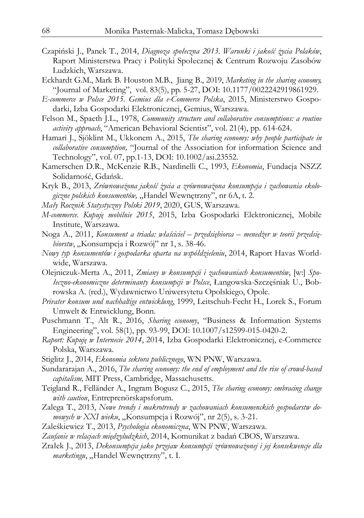- Czapiński J., Panek T., 2014, *Diagnoza społeczna 2013. Warunki i jakość życia Polaków*, Raport Ministerstwa Pracy i Polityki Społecznej & Centrum Rozwoju Zasobów Ludzkich, Warszawa.
- Eckhardt G.M., Mark B. Houston M.B., Jiang B., 2019, *Marketing in the sharing economy,*  "Journal of Marketing", vol. 83(5), pp. 5-27, DOI: 10.1177/0022242919861929.
- *E-commerce w Polsce 2015. Gemius dla e-Commerce Polska*, 2015, Ministerstwo Gospodarki, Izba Gospodarki Elektronicznej, Gemius, Warszawa.
- Felson M., Spaeth J.L., 1978, *Community structure and collaborative consumptions: a routine activity approach*, "American Behavioral Scientist", vol. 21(4), pp. 614-624.
- Hamari J., Sjöklint M., Ukkonem A., 2015, *The sharing economy: why people participate in collaborative consumption,* "Journal of the Association for information Science and Technology", vol. 07, pp.1-13, DOI: 10.1002/asi.23552.
- Kamerschen D.R., McKenzie R.B., Nardinelli C., 1993, *Ekonomia*, Fundacja NSZZ Solidarność, Gdańsk.
- Kryk B., 2013, *Zrównoważona jakość życia a zrównoważona konsumpcja i zachowania ekologiczne polskich konsumentów,* "Handel Wewnętrzny", nr 6A, t. 2.
- *Mały Rocznik Statystyczny Polski 2019*, 2020, GUS, Warszawa.
- *M-commerce*. *Kupuję mobilnie 2015*, 2015, Izba Gospodarki Elektronicznej, Mobile Institute, Warszawa.
- Noga A., 2011, *Konsument a triada: właściciel przedsiębiorca menedżer w teorii przedsiębiorstw*, "Konsumpcja i Rozwój" nr 1, s. 38-46.
- *Nowy typ konsumentów i gospodarka oparta na współdzieleniu*, 2014, Raport Havas Worldwide, Warszawa.
- Olejniczuk-Merta A., 2011, *Zmiany w konsumpcji i zachowaniach konsumentów*, [w:] *Społeczno-ekonomiczne determinanty konsumpcji w Polsce*, Łangowska-Szczęśniak U., Bobrowska A. (red.), Wydawnictwo Uniwersytetu Opolskiego, Opole.
- *Privater konsum und nachhaltige entwicklung*, 1999, Leitschuh-Fecht H., Lorek S., Forum Umwelt & Entwicklung, Bonn.
- Puschmann T., Alt R., 2016, *Sharing economy*, "Business & Information Systems Engineering", vol. 58(1), pp. 93-99, DOI: 10.1007/s12599-015-0420-2.
- *Raport: Kupuję w Internecie 2014*, 2014, Izba Gospodarki Elektronicznej, e-Commerce Polska, Warszawa.
- Stiglitz J., 2014, *Ekonomia sektora publicznego*, WN PNW, Warszawa.
- Sundararajan A., 2016, *The sharing economy: the end of employment and the rise of crowd-based capitalism,* MIT Press, Cambridge, Massachusetts.
- Teigland R., Felländer A., Ingram Bogusz C., 2015, *The sharing economy: embracing change with caution*, Entreprenörskapsforum.
- Zalega T., 2013, *Nowe trendy i makrotrendy w zachowaniach konsumenckich gospodarstw domowych w XXI wieku*, "Konsumpcja i Rozwój", nr 2(5), s. 3-21.
- Zaleśkiewicz T., 2013, *Psychologia ekonomiczna*, WN PNW, Warszawa.
- *Zaufanie w relacjach międzyludzkich*, 2014, Komunikat z badań CBOS, Warszawa.
- Zrałek J., 2013, *Dekonsumpcja jako przejaw konsumpcji zrównoważonej i jej konsekwencje dla marketingu*, "Handel Wewnętrzny", t. I.